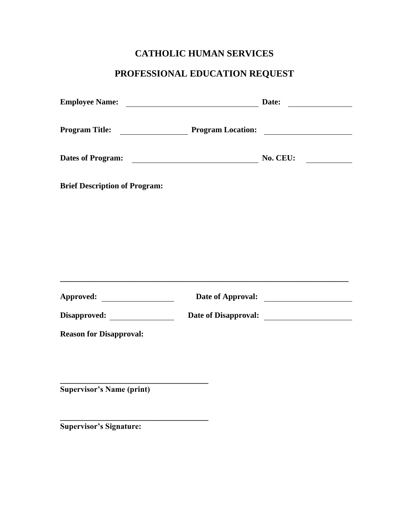## **CATHOLIC HUMAN SERVICES**

## **PROFESSIONAL EDUCATION REQUEST**

|                                      |                                                                   | Date: |
|--------------------------------------|-------------------------------------------------------------------|-------|
|                                      |                                                                   |       |
|                                      |                                                                   |       |
| <b>Brief Description of Program:</b> |                                                                   |       |
|                                      |                                                                   |       |
|                                      |                                                                   |       |
|                                      | <u> 1989 - Johann John Stone, mars eta biztanleria (h. 1989).</u> |       |
| Approved:                            |                                                                   |       |
|                                      |                                                                   |       |
| <b>Reason for Disapproval:</b>       |                                                                   |       |
|                                      |                                                                   |       |
| <b>Supervisor's Name (print)</b>     |                                                                   |       |
|                                      |                                                                   |       |

**Supervisor's Signature:**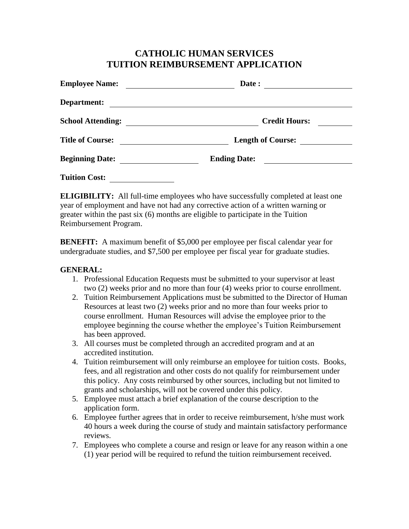## **CATHOLIC HUMAN SERVICES TUITION REIMBURSEMENT APPLICATION**

| <b>Employee Name:</b>    | Date:                    |  |
|--------------------------|--------------------------|--|
| <b>Department:</b>       |                          |  |
| <b>School Attending:</b> | <b>Credit Hours:</b>     |  |
| <b>Title of Course:</b>  | <b>Length of Course:</b> |  |
| <b>Beginning Date:</b>   | <b>Ending Date:</b>      |  |
| <b>Tuition Cost:</b>     |                          |  |

**ELIGIBILITY:** All full-time employees who have successfully completed at least one year of employment and have not had any corrective action of a written warning or greater within the past six (6) months are eligible to participate in the Tuition Reimbursement Program.

**BENEFIT:** A maximum benefit of \$5,000 per employee per fiscal calendar year for undergraduate studies, and \$7,500 per employee per fiscal year for graduate studies.

## **GENERAL:**

- 1. Professional Education Requests must be submitted to your supervisor at least two (2) weeks prior and no more than four (4) weeks prior to course enrollment.
- 2. Tuition Reimbursement Applications must be submitted to the Director of Human Resources at least two (2) weeks prior and no more than four weeks prior to course enrollment. Human Resources will advise the employee prior to the employee beginning the course whether the employee's Tuition Reimbursement has been approved.
- 3. All courses must be completed through an accredited program and at an accredited institution.
- 4. Tuition reimbursement will only reimburse an employee for tuition costs. Books, fees, and all registration and other costs do not qualify for reimbursement under this policy. Any costs reimbursed by other sources, including but not limited to grants and scholarships, will not be covered under this policy.
- 5. Employee must attach a brief explanation of the course description to the application form.
- 6. Employee further agrees that in order to receive reimbursement, h/she must work 40 hours a week during the course of study and maintain satisfactory performance reviews.
- 7. Employees who complete a course and resign or leave for any reason within a one (1) year period will be required to refund the tuition reimbursement received.